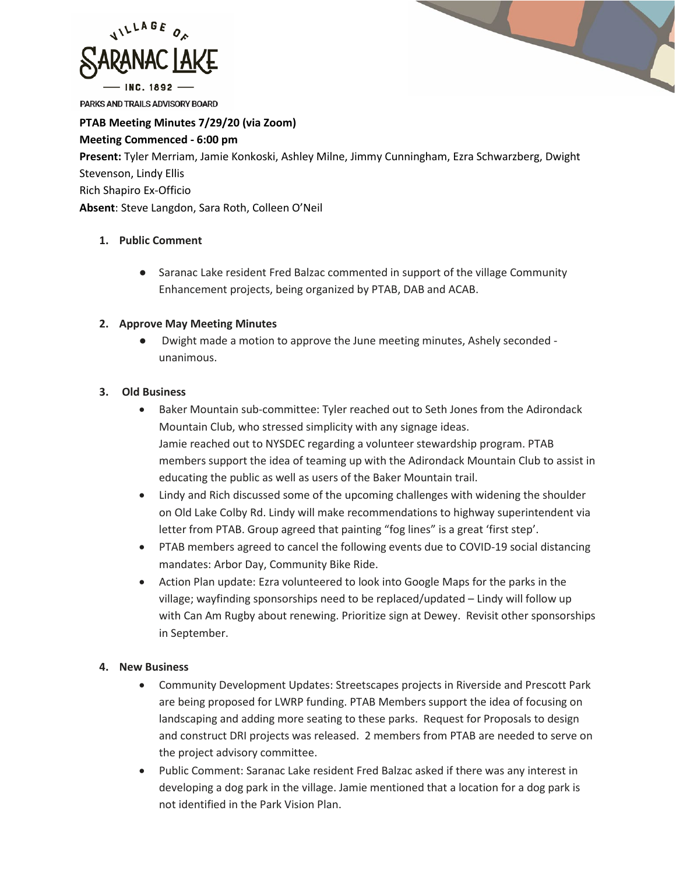

PARKS AND TRAILS ADVISORY BOARD

# **PTAB Meeting Minutes 7/29/20 (via Zoom)**

### **Meeting Commenced - 6:00 pm**

**Present:** Tyler Merriam, Jamie Konkoski, Ashley Milne, Jimmy Cunningham, Ezra Schwarzberg, Dwight Stevenson, Lindy Ellis Rich Shapiro Ex-Officio **Absent**: Steve Langdon, Sara Roth, Colleen O'Neil

## **1. Public Comment**

● Saranac Lake resident Fred Balzac commented in support of the village Community Enhancement projects, being organized by PTAB, DAB and ACAB.

## **2. Approve May Meeting Minutes**

Dwight made a motion to approve the June meeting minutes, Ashely seconded unanimous.

## **3. Old Business**

- Baker Mountain sub-committee: Tyler reached out to Seth Jones from the Adirondack Mountain Club, who stressed simplicity with any signage ideas. Jamie reached out to NYSDEC regarding a volunteer stewardship program. PTAB members support the idea of teaming up with the Adirondack Mountain Club to assist in educating the public as well as users of the Baker Mountain trail.
- Lindy and Rich discussed some of the upcoming challenges with widening the shoulder on Old Lake Colby Rd. Lindy will make recommendations to highway superintendent via letter from PTAB. Group agreed that painting "fog lines" is a great 'first step'.
- PTAB members agreed to cancel the following events due to COVID-19 social distancing mandates: Arbor Day, Community Bike Ride.
- Action Plan update: Ezra volunteered to look into Google Maps for the parks in the village; wayfinding sponsorships need to be replaced/updated – Lindy will follow up with Can Am Rugby about renewing. Prioritize sign at Dewey. Revisit other sponsorships in September.

## **4. New Business**

- Community Development Updates: Streetscapes projects in Riverside and Prescott Park are being proposed for LWRP funding. PTAB Members support the idea of focusing on landscaping and adding more seating to these parks. Request for Proposals to design and construct DRI projects was released. 2 members from PTAB are needed to serve on the project advisory committee.
- Public Comment: Saranac Lake resident Fred Balzac asked if there was any interest in developing a dog park in the village. Jamie mentioned that a location for a dog park is not identified in the Park Vision Plan.